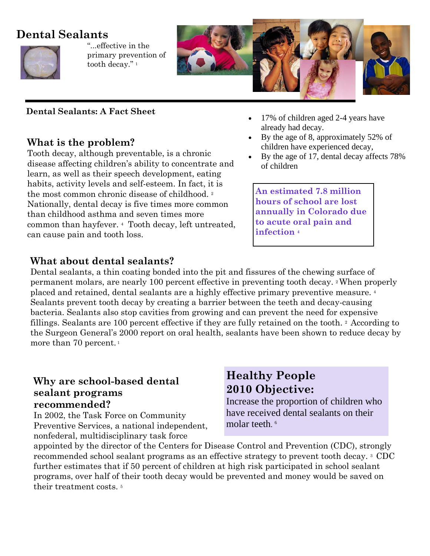# **Dental Sealants**



"...effective in the primary prevention of tooth decay."<sup>1</sup>



#### **Dental Sealants: A Fact Sheet**

### **What is the problem?**

Tooth decay, although preventable, is a chronic disease affecting children's ability to concentrate and learn, as well as their speech development, eating habits, activity levels and self-esteem. In fact, it is the most common chronic disease of childhood.<sup>2</sup> Nationally, dental decay is five times more common than childhood asthma and seven times more common than hayfever. 4 Tooth decay, left untreated, can cause pain and tooth loss.

### **What about dental sealants?**

17% of children aged 2-4 years have already had decay.

- By the age of 8, approximately 52% of children have experienced decay,
- By the age of 17, dental decay affects 78% of children

**An estimated 7.8 million hours of school are lost annually in Colorado due to acute oral pain and infection 4**

Dental sealants, a thin coating bonded into the pit and fissures of the chewing surface of permanent molars, are nearly 100 percent effective in preventing tooth decay. 2 When properly placed and retained, dental sealants are a highly effective primary preventive measure. 4 Sealants prevent tooth decay by creating a barrier between the teeth and decay-causing bacteria. Sealants also stop cavities from growing and can prevent the need for expensive fillings. Sealants are 100 percent effective if they are fully retained on the tooth. 2 According to the Surgeon General's 2000 report on oral health, sealants have been shown to reduce decay by more than 70 percent.<sup>1</sup>

### **Why are school-based dental sealant programs recommended?**

In 2002, the Task Force on Community Preventive Services, a national independent, nonfederal, multidisciplinary task force

## **Healthy People 2010 Objective:**

Increase the proportion of children who have received dental sealants on their molar teeth.<sup>6</sup>

appointed by the director of the Centers for Disease Control and Prevention (CDC), strongly recommended school sealant programs as an effective strategy to prevent tooth decay. 3 CDC further estimates that if 50 percent of children at high risk participated in school sealant programs, over half of their tooth decay would be prevented and money would be saved on their treatment costs. 5